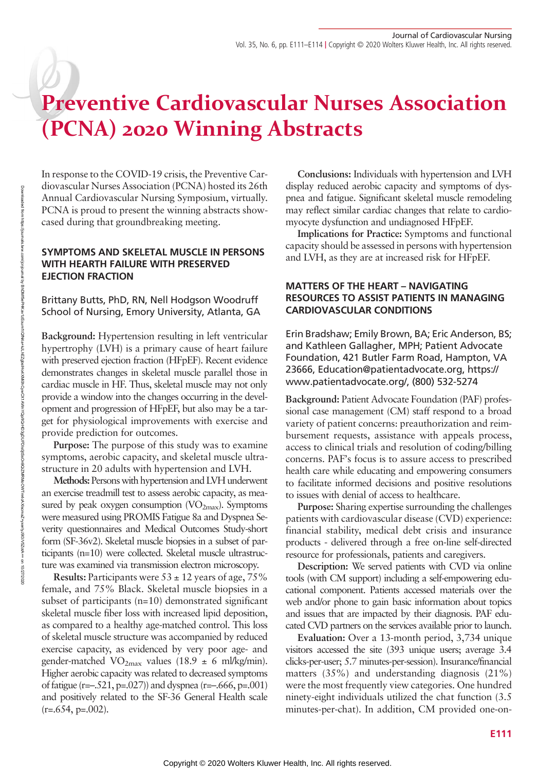# Preventive Cardiovascular Nurses Association (PCNA) 2020 Winning Abstracts

In response to the COVID-19 crisis, the Preventive Cardiovascular Nurses Association (PCNA) hosted its 26th Annual Cardiovascular Nursing Symposium, virtually. PCNA is proud to present the winning abstracts showcased during that groundbreaking meeting.

### SYMPTOMS AND SKELETAL MUSCLE IN PERSONS WITH HEARTH FAILURE WITH PRESERVED EJECTION FRACTION

Brittany Butts, PhD, RN, Nell Hodgson Woodruff School of Nursing, Emory University, Atlanta, GA

Background: Hypertension resulting in left ventricular hypertrophy (LVH) is a primary cause of heart failure with preserved ejection fraction (HFpEF). Recent evidence demonstrates changes in skeletal muscle parallel those in cardiac muscle in HF. Thus, skeletal muscle may not only provide a window into the changes occurring in the development and progression of HFpEF, but also may be a target for physiological improvements with exercise and provide prediction for outcomes.

Purpose: The purpose of this study was to examine symptoms, aerobic capacity, and skeletal muscle ultrastructure in 20 adults with hypertension and LVH.

Methods: Persons with hypertension and LVH underwent an exercise treadmill test to assess aerobic capacity, as measured by peak oxygen consumption  $(VO_{2max})$ . Symptoms were measured using PROMIS Fatigue 8a and Dyspnea Severity questionnaires and Medical Outcomes Study-short form (SF-36v2). Skeletal muscle biopsies in a subset of participants (n=10) were collected. Skeletal muscle ultrastructure was examined via transmission electron microscopy.

**Results:** Participants were  $53 \pm 12$  years of age,  $75\%$ female, and 75% Black. Skeletal muscle biopsies in a subset of participants (n=10) demonstrated significant skeletal muscle fiber loss with increased lipid deposition, as compared to a healthy age-matched control. This loss of skeletal muscle structure was accompanied by reduced exercise capacity, as evidenced by very poor age- and gender-matched VO<sub>2max</sub> values (18.9  $\pm$  6 ml/kg/min). Higher aerobic capacity was related to decreased symptoms of fatigue (r= $-.521$ , p= $.027$ )) and dyspnea (r= $-.666$ , p= $.001$ ) and positively related to the SF-36 General Health scale  $(r=.654, p=.002)$ .

Conclusions: Individuals with hypertension and LVH display reduced aerobic capacity and symptoms of dyspnea and fatigue. Significant skeletal muscle remodeling may reflect similar cardiac changes that relate to cardiomyocyte dysfunction and undiagnosed HFpEF.

Implications for Practice: Symptoms and functional capacity should be assessed in persons with hypertension and LVH, as they are at increased risk for HFpEF.

## MATTERS OF THE HEART – NAVIGATING RESOURCES TO ASSIST PATIENTS IN MANAGING CARDIOVASCULAR CONDITIONS

Erin Bradshaw; Emily Brown, BA; Eric Anderson, BS; and Kathleen Gallagher, MPH; Patient Advocate Foundation, 421 Butler Farm Road, Hampton, VA 23666, [Education@patientadvocate.org](mailto:Education@patientadvocate.org), [https://](https://www.patientadvocate.org/) [www.patientadvocate.org/](https://www.patientadvocate.org/), (800) 532-5274

Background: Patient Advocate Foundation (PAF) professional case management (CM) staff respond to a broad variety of patient concerns: preauthorization and reimbursement requests, assistance with appeals process, access to clinical trials and resolution of coding/billing concerns. PAF's focus is to assure access to prescribed health care while educating and empowering consumers to facilitate informed decisions and positive resolutions to issues with denial of access to healthcare.

Purpose: Sharing expertise surrounding the challenges patients with cardiovascular disease (CVD) experience: financial stability, medical debt crisis and insurance products - delivered through a free on-line self-directed resource for professionals, patients and caregivers.

Description: We served patients with CVD via online tools (with CM support) including a self-empowering educational component. Patients accessed materials over the web and/or phone to gain basic information about topics and issues that are impacted by their diagnosis. PAF educated CVD partners on the services available prior to launch.

Evaluation: Over a 13-month period, 3,734 unique visitors accessed the site (393 unique users; average 3.4 clicks-per-user; 5.7 minutes-per-session). Insurance/financial matters (35%) and understanding diagnosis (21%) were the most frequently view categories. One hundred ninety-eight individuals utilized the chat function (3.5 minutes-per-chat). In addition, CM provided one-on-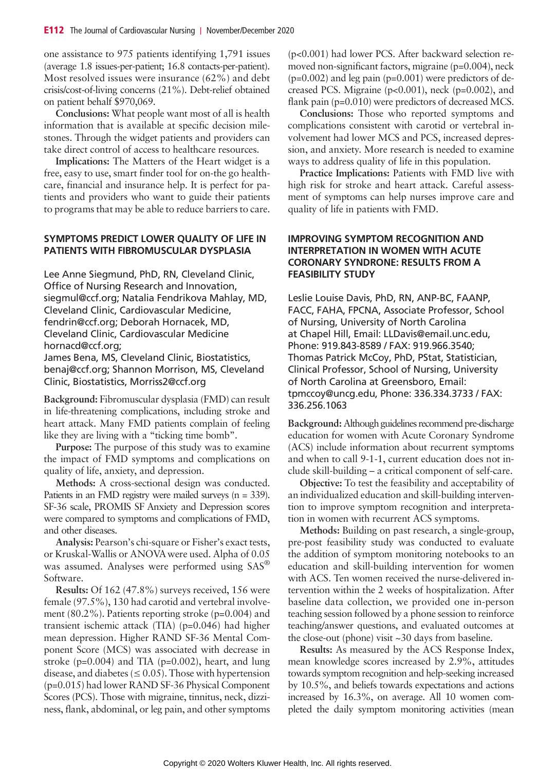one assistance to 975 patients identifying 1,791 issues (average 1.8 issues-per-patient; 16.8 contacts-per-patient). Most resolved issues were insurance (62%) and debt crisis/cost-of-living concerns (21%). Debt-relief obtained on patient behalf \$970,069.

Conclusions: What people want most of all is health information that is available at specific decision milestones. Through the widget patients and providers can take direct control of access to healthcare resources.

Implications: The Matters of the Heart widget is a free, easy to use, smart finder tool for on-the go healthcare, financial and insurance help. It is perfect for patients and providers who want to guide their patients to programs that may be able to reduce barriers to care.

#### SYMPTOMS PREDICT LOWER QUALITY OF LIFE IN PATIENTS WITH FIBROMUSCULAR DYSPLASIA

Lee Anne Siegmund, PhD, RN, Cleveland Clinic, Office of Nursing Research and Innovation, [siegmul@ccf.org](mailto:siegmul@ccf.org); Natalia Fendrikova Mahlay, MD, Cleveland Clinic, Cardiovascular Medicine, [fendrin@ccf.org;](mailto:fendrin@ccf.org) Deborah Hornacek, MD, Cleveland Clinic, Cardiovascular Medicine [hornacd@ccf.org](mailto:hornacd@ccf.org);

James Bena, MS, Cleveland Clinic, Biostatistics, [benaj@ccf.org;](mailto:benaj@ccf.org) Shannon Morrison, MS, Cleveland Clinic, Biostatistics, [Morriss2@ccf.org](mailto:Morriss2@ccf.org)

Background: Fibromuscular dysplasia (FMD) can result in life-threatening complications, including stroke and heart attack. Many FMD patients complain of feeling like they are living with a "ticking time bomb".

Purpose: The purpose of this study was to examine the impact of FMD symptoms and complications on quality of life, anxiety, and depression.

Methods: A cross-sectional design was conducted. Patients in an FMD registry were mailed surveys (n = 339). SF-36 scale, PROMIS SF Anxiety and Depression scores were compared to symptoms and complications of FMD, and other diseases.

Analysis: Pearson's chi-square or Fisher's exact tests, or Kruskal-Wallis or ANOVA were used. Alpha of 0.05 was assumed. Analyses were performed using SAS® Software.

Results: Of 162 (47.8%) surveys received, 156 were female (97.5%), 130 had carotid and vertebral involvement (80.2%). Patients reporting stroke (p=0.004) and transient ischemic attack (TIA) (p=0.046) had higher mean depression. Higher RAND SF-36 Mental Component Score (MCS) was associated with decrease in stroke (p=0.004) and TIA (p=0.002), heart, and lung disease, and diabetes ( $\leq 0.05$ ). Those with hypertension (p=0.015) had lower RAND SF-36 Physical Component Scores (PCS). Those with migraine, tinnitus, neck, dizziness, flank, abdominal, or leg pain, and other symptoms (p<0.001) had lower PCS. After backward selection removed non-significant factors, migraine (p=0.004), neck  $(p=0.002)$  and leg pain  $(p=0.001)$  were predictors of decreased PCS. Migraine (p<0.001), neck (p=0.002), and flank pain (p=0.010) were predictors of decreased MCS.

Conclusions: Those who reported symptoms and complications consistent with carotid or vertebral involvement had lower MCS and PCS, increased depression, and anxiety. More research is needed to examine ways to address quality of life in this population.

Practice Implications: Patients with FMD live with high risk for stroke and heart attack. Careful assessment of symptoms can help nurses improve care and quality of life in patients with FMD.

### IMPROVING SYMPTOM RECOGNITION AND INTERPRETATION IN WOMEN WITH ACUTE CORONARY SYNDRONE: RESULTS FROM A FEASIBILITY STUDY

Leslie Louise Davis, PhD, RN, ANP-BC, FAANP, FACC, FAHA, FPCNA, Associate Professor, School of Nursing, University of North Carolina at Chapel Hill, Email: LLDavis@email.unc.edu, Phone: 919.843-8589 / FAX: 919.966.3540; Thomas Patrick McCoy, PhD, PStat, Statistician, Clinical Professor, School of Nursing, University of North Carolina at Greensboro, Email: tpmccoy@uncg.edu, Phone: 336.334.3733 / FAX: 336.256.1063

Background: Although guidelines recommend pre-discharge education for women with Acute Coronary Syndrome (ACS) include information about recurrent symptoms and when to call 9-1-1, current education does not include skill-building – a critical component of self-care.

Objective: To test the feasibility and acceptability of an individualized education and skill-building intervention to improve symptom recognition and interpretation in women with recurrent ACS symptoms.

Methods: Building on past research, a single-group, pre-post feasibility study was conducted to evaluate the addition of symptom monitoring notebooks to an education and skill-building intervention for women with ACS. Ten women received the nurse-delivered intervention within the 2 weeks of hospitalization. After baseline data collection, we provided one in-person teaching session followed by a phone session to reinforce teaching/answer questions, and evaluated outcomes at the close-out (phone) visit ~30 days from baseline.

Results: As measured by the ACS Response Index, mean knowledge scores increased by 2.9%, attitudes towards symptom recognition and help-seeking increased by 10.5%, and beliefs towards expectations and actions increased by 16.3%, on average. All 10 women completed the daily symptom monitoring activities (mean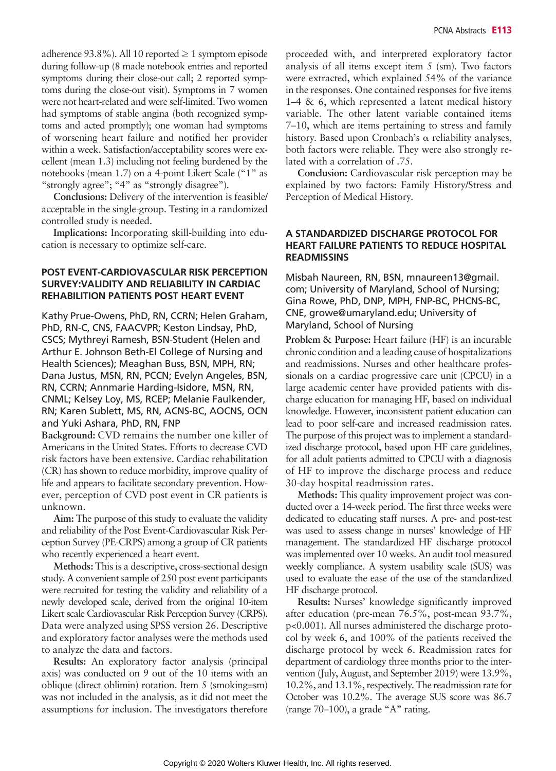adherence 93.8%). All 10 reported  $\geq 1$  symptom episode during follow-up (8 made notebook entries and reported symptoms during their close-out call; 2 reported symptoms during the close-out visit). Symptoms in 7 women were not heart-related and were self-limited. Two women had symptoms of stable angina (both recognized symptoms and acted promptly); one woman had symptoms of worsening heart failure and notified her provider within a week. Satisfaction/acceptability scores were excellent (mean 1.3) including not feeling burdened by the notebooks (mean 1.7) on a 4-point Likert Scale ("1" as "strongly agree"; "4" as "strongly disagree").

Conclusions: Delivery of the intervention is feasible/ acceptable in the single-group. Testing in a randomized controlled study is needed.

Implications: Incorporating skill-building into education is necessary to optimize self-care.

#### POST EVENT-CARDIOVASCULAR RISK PERCEPTION SURVEY:VALIDITY AND RELIABILITY IN CARDIAC REHABILITION PATIENTS POST HEART EVENT

Kathy Prue-Owens, PhD, RN, CCRN; Helen Graham, PhD, RN-C, CNS, FAACVPR; Keston Lindsay, PhD, CSCS; Mythreyi Ramesh, BSN-Student (Helen and Arthur E. Johnson Beth-El College of Nursing and Health Sciences); Meaghan Buss, BSN, MPH, RN; Dana Justus, MSN, RN, PCCN; Evelyn Angeles, BSN, RN, CCRN; Annmarie Harding-Isidore, MSN, RN, CNML; Kelsey Loy, MS, RCEP; Melanie Faulkender, RN; Karen Sublett, MS, RN, ACNS-BC, AOCNS, OCN and Yuki Ashara, PhD, RN, FNP

Background: CVD remains the number one killer of Americans in the United States. Efforts to decrease CVD risk factors have been extensive. Cardiac rehabilitation (CR) has shown to reduce morbidity, improve quality of life and appears to facilitate secondary prevention. However, perception of CVD post event in CR patients is unknown.

Aim: The purpose of this study to evaluate the validity and reliability of the Post Event-Cardiovascular Risk Perception Survey (PE-CRPS) among a group of CR patients who recently experienced a heart event.

Methods: This is a descriptive, cross-sectional design study. A convenient sample of 250 post event participants were recruited for testing the validity and reliability of a newly developed scale, derived from the original 10-item Likert scale Cardiovascular Risk Perception Survey (CRPS). Data were analyzed using SPSS version 26. Descriptive and exploratory factor analyses were the methods used to analyze the data and factors.

Results: An exploratory factor analysis (principal axis) was conducted on 9 out of the 10 items with an oblique (direct oblimin) rotation. Item 5 (smoking=sm) was not included in the analysis, as it did not meet the assumptions for inclusion. The investigators therefore proceeded with, and interpreted exploratory factor analysis of all items except item 5 (sm). Two factors were extracted, which explained 54% of the variance in the responses. One contained responses for five items  $1-4 \& 6$ , which represented a latent medical history variable. The other latent variable contained items 7–10, which are items pertaining to stress and family history. Based upon Cronbach's α reliability analyses, both factors were reliable. They were also strongly related with a correlation of .75.

Conclusion: Cardiovascular risk perception may be explained by two factors: Family History/Stress and Perception of Medical History.

#### A STANDARDIZED DISCHARGE PROTOCOL FOR HEART FAILURE PATIENTS TO REDUCE HOSPITAL **READMISSINS**

Misbah Naureen, RN, BSN, [mnaureen13@gmail.](mailto:mnaureen13@gmail.com) [com;](mailto:mnaureen13@gmail.com) University of Maryland, School of Nursing; Gina Rowe, PhD, DNP, MPH, FNP-BC, PHCNS-BC, CNE, [growe@umaryland.edu](mailto:growe@umaryland.edu); University of Maryland, School of Nursing

Problem & Purpose: Heart failure (HF) is an incurable chronic condition and a leading cause of hospitalizations and readmissions. Nurses and other healthcare professionals on a cardiac progressive care unit (CPCU) in a large academic center have provided patients with discharge education for managing HF, based on individual knowledge. However, inconsistent patient education can lead to poor self-care and increased readmission rates. The purpose of this project was to implement a standardized discharge protocol, based upon HF care guidelines, for all adult patients admitted to CPCU with a diagnosis of HF to improve the discharge process and reduce 30-day hospital readmission rates.

Methods: This quality improvement project was conducted over a 14-week period. The first three weeks were dedicated to educating staff nurses. A pre- and post-test was used to assess change in nurses' knowledge of HF management. The standardized HF discharge protocol was implemented over 10 weeks. An audit tool measured weekly compliance. A system usability scale (SUS) was used to evaluate the ease of the use of the standardized HF discharge protocol.

Results: Nurses' knowledge significantly improved after education (pre-mean 76.5%, post-mean 93.7%, p<0.001). All nurses administered the discharge protocol by week 6, and 100% of the patients received the discharge protocol by week 6. Readmission rates for department of cardiology three months prior to the intervention (July, August, and September 2019) were 13.9%, 10.2%, and 13.1%, respectively. The readmission rate for October was 10.2%. The average SUS score was 86.7 (range 70–100), a grade "A" rating.